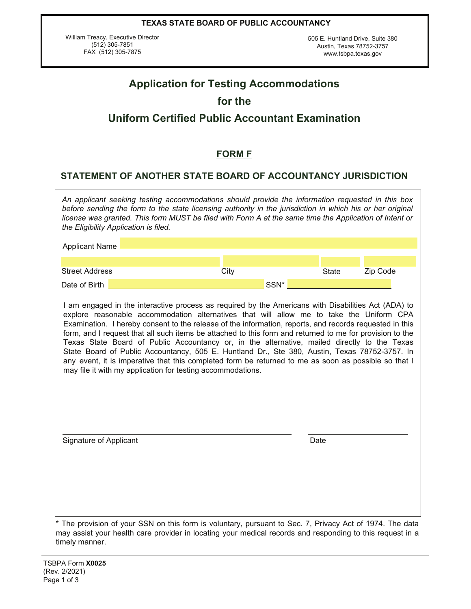#### **TEXAS STATE BOARD OF PUBLIC ACCOUNTANCY**

William Treacy, Executive Director (512) 305-7851 FAX (512) 305-7875

505 E. Huntland Drive, Suite 380 Austin, Texas 78752-3757 www.tsbpa.texas.gov

# **Application for Testing Accommodations for the**

# **Uniform Certified Public Accountant Examination**

# **FORM F**

## **STATEMENT OF ANOTHER STATE BOARD OF ACCOUNTANCY JURISDICTION**

| the Eligibility Application is filed.                                                                                                                                                                                                                                                                                                                                                                                                                                                                                                                                                                                                                                                                                                                                                          | An applicant seeking testing accommodations should provide the information requested in this box<br>before sending the form to the state licensing authority in the jurisdiction in which his or her original<br>license was granted. This form MUST be filed with Form A at the same time the Application of Intent or |                   |      |              |          |  |  |
|------------------------------------------------------------------------------------------------------------------------------------------------------------------------------------------------------------------------------------------------------------------------------------------------------------------------------------------------------------------------------------------------------------------------------------------------------------------------------------------------------------------------------------------------------------------------------------------------------------------------------------------------------------------------------------------------------------------------------------------------------------------------------------------------|-------------------------------------------------------------------------------------------------------------------------------------------------------------------------------------------------------------------------------------------------------------------------------------------------------------------------|-------------------|------|--------------|----------|--|--|
| <b>Applicant Name</b>                                                                                                                                                                                                                                                                                                                                                                                                                                                                                                                                                                                                                                                                                                                                                                          |                                                                                                                                                                                                                                                                                                                         |                   |      |              |          |  |  |
|                                                                                                                                                                                                                                                                                                                                                                                                                                                                                                                                                                                                                                                                                                                                                                                                |                                                                                                                                                                                                                                                                                                                         |                   |      |              |          |  |  |
| <b>Street Address</b>                                                                                                                                                                                                                                                                                                                                                                                                                                                                                                                                                                                                                                                                                                                                                                          |                                                                                                                                                                                                                                                                                                                         | $\overline{City}$ |      | <b>State</b> | Zip Code |  |  |
| Date of Birth                                                                                                                                                                                                                                                                                                                                                                                                                                                                                                                                                                                                                                                                                                                                                                                  |                                                                                                                                                                                                                                                                                                                         |                   | SSN* |              |          |  |  |
| I am engaged in the interactive process as required by the Americans with Disabilities Act (ADA) to<br>explore reasonable accommodation alternatives that will allow me to take the Uniform CPA<br>Examination. I hereby consent to the release of the information, reports, and records requested in this<br>form, and I request that all such items be attached to this form and returned to me for provision to the<br>Texas State Board of Public Accountancy or, in the alternative, mailed directly to the Texas<br>State Board of Public Accountancy, 505 E. Huntland Dr., Ste 380, Austin, Texas 78752-3757. In<br>any event, it is imperative that this completed form be returned to me as soon as possible so that I<br>may file it with my application for testing accommodations. |                                                                                                                                                                                                                                                                                                                         |                   |      |              |          |  |  |
| Signature of Applicant                                                                                                                                                                                                                                                                                                                                                                                                                                                                                                                                                                                                                                                                                                                                                                         |                                                                                                                                                                                                                                                                                                                         |                   | Date |              |          |  |  |
|                                                                                                                                                                                                                                                                                                                                                                                                                                                                                                                                                                                                                                                                                                                                                                                                | * The provision of vour SSN on this form is voluntary, pursuant to See, 7. Drivaoy Act of 1074. The data                                                                                                                                                                                                                |                   |      |              |          |  |  |

The provision of your SSN on this form is voluntary, pursuant to Sec. 7, Privacy Act of 1974. The data may assist your health care provider in locating your medical records and responding to this request in a timely manner.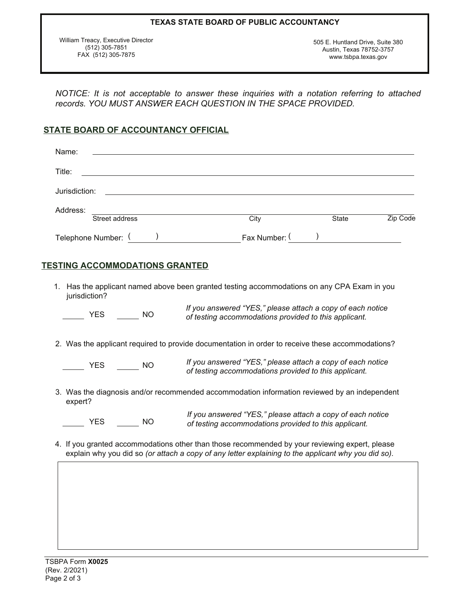#### **TEXAS STATE BOARD OF PUBLIC ACCOUNTANCY**

William Treacy, Executive Director (512) 305-7851 FAX (512) 305-7875

505 E. Huntland Drive, Suite 380 Austin, Texas 78752-3757 www.tsbpa.texas.gov

*NOTICE: It is not acceptable to answer these inquiries with a notation referring to attached records. YOU MUST ANSWER EACH QUESTION IN THE SPACE PROVIDED.*

### **STATE BOARD OF ACCOUNTANCY OFFICIAL**

| Name:                      |               |       |          |
|----------------------------|---------------|-------|----------|
| Title:                     |               |       |          |
| Jurisdiction:              |               |       |          |
| Address:<br>Street address | City          | State | Zip Code |
| Telephone Number: (        | Fax Number: ( |       |          |

### **TESTING ACCOMMODATIONS GRANTED**

1. Has the applicant named above been granted testing accommodations on any CPA Exam in you jurisdiction?

*If you answered "YES," please attach a copy of each notice*<br>YES **IF A** *If testing accommodations provided to this annicant of testing accommodations provided to this applicant.*

2. Was the applicant required to provide documentation in order to receive these accommodations?

YES NO

*If you answered "YES," please attach a copy of each notice of testing accommodations provided to this applicant.*

3. Was the diagnosis and/or recommended accommodation information reviewed by an independent expert?

YES NO

*If you answered "YES," please attach a copy of each notice of testing accommodations provided to this applicant.*

4. If you granted accommodations other than those recommended by your reviewing expert, please explain why you did so *(or attach a copy of any letter explaining to the applicant why you did so).*